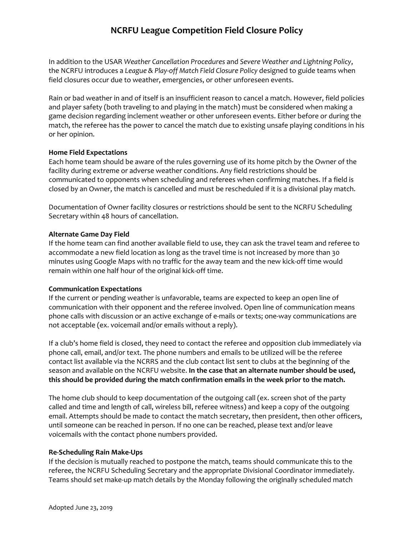## **NCRFU League Competition Field Closure Policy**

In addition to the USAR *Weather Cancellation Procedures* and *Severe Weather and Lightning Policy*, the NCRFU introduces a *League & Play-off Match Field Closure Policy* designed to guide teams when field closures occur due to weather, emergencies, or other unforeseen events.

Rain or bad weather in and of itself is an insufficient reason to cancel a match. However, field policies and player safety (both traveling to and playing in the match) must be considered when making a game decision regarding inclement weather or other unforeseen events. Either before or during the match, the referee has the power to cancel the match due to existing unsafe playing conditions in his or her opinion.

#### **Home Field Expectations**

Each home team should be aware of the rules governing use of its home pitch by the Owner of the facility during extreme or adverse weather conditions. Any field restrictions should be communicated to opponents when scheduling and referees when confirming matches. If a field is closed by an Owner, the match is cancelled and must be rescheduled if it is a divisional play match.

Documentation of Owner facility closures or restrictions should be sent to the NCRFU Scheduling Secretary within 48 hours of cancellation.

### **Alternate Game Day Field**

If the home team can find another available field to use, they can ask the travel team and referee to accommodate a new field location as long as the travel time is not increased by more than 30 minutes using Google Maps with no traffic for the away team and the new kick-off time would remain within one half hour of the original kick-off time.

#### **Communication Expectations**

If the current or pending weather is unfavorable, teams are expected to keep an open line of communication with their opponent and the referee involved. Open line of communication means phone calls with discussion or an active exchange of e-mails or texts; one-way communications are not acceptable (ex. voicemail and/or emails without a reply).

If a club's home field is closed, they need to contact the referee and opposition club immediately via phone call, email, and/or text. The phone numbers and emails to be utilized will be the referee contact list available via the NCRRS and the club contact list sent to clubs at the beginning of the season and available on the NCRFU website. **In the case that an alternate number should be used, this should be provided during the match confirmation emails in the week prior to the match.** 

The home club should to keep documentation of the outgoing call (ex. screen shot of the party called and time and length of call, wireless bill, referee witness) and keep a copy of the outgoing email. Attempts should be made to contact the match secretary, then president, then other officers, until someone can be reached in person. If no one can be reached, please text and/or leave voicemails with the contact phone numbers provided.

#### **Re-Scheduling Rain Make-Ups**

If the decision is mutually reached to postpone the match, teams should communicate this to the referee, the NCRFU Scheduling Secretary and the appropriate Divisional Coordinator immediately. Teams should set make-up match details by the Monday following the originally scheduled match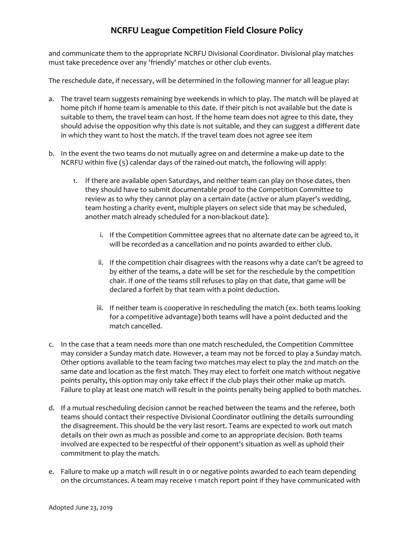## **NCRFU League Competition Field Closure Policy**

and communicate them to the appropriate NCRFU Divisional Coordinator. Divisional play matches must take precedence over any 'friendly' matches or other club events.

The reschedule date, if necessary, will be determined in the following manner for all league play:

- a. The travel team suggests remaining bye weekends in which to play. The match will be played at home pitch if home team is amenable to this date. If their pitch is not available but the date is suitable to them, the travel team can host. If the home team does not agree to this date, they should advise the opposition why this date is not suitable, and they can suggest a different date in which they want to host the match. If the travel team does not agree see item
- b. In the event the two teams do not mutually agree on and determine a make-up date to the NCRFU within five (5) calendar days of the rained-out match, the following will apply:
	- 1. If there are available open Saturdays, and neither team can play on those dates, then they should have to submit documentable proof to the Competition Committee to review as to why they cannot play on a certain date (active or alum player's wedding, team hosting a charity event, multiple players on select side that may be scheduled, another match already scheduled for a non-blackout date).
		- i. If the Competition Committee agrees that no alternate date can be agreed to, it will be recorded as a cancellation and no points awarded to either club.
		- ii. If the competition chair disagrees with the reasons why a date can't be agreed to by either of the teams, a date will be set for the reschedule by the competition chair. If one of the teams still refuses to play on that date, that game will be declared a forfeit by that team with a point deduction.
		- iii. If neither team is cooperative in rescheduling the match (ex. both teams looking for a competitive advantage) both teams will have a point deducted and the match cancelled.
- c. In the case that a team needs more than one match rescheduled, the Competition Committee may consider a Sunday match date. However, a team may not be forced to play a Sunday match. Other options available to the team facing two matches may elect to play the 2nd match on the same date and location as the first match. They may elect to forfeit one match without negative points penalty, this option may only take effect if the club plays their other make up match. Failure to play at least one match will result in the points penalty being applied to both matches.
- d. If a mutual rescheduling decision cannot be reached between the teams and the referee, both teams should contact their respective Divisional Coordinator outlining the details surrounding the disagreement. This should be the very last resort. Teams are expected to work out match details on their own as much as possible and come to an appropriate decision. Both teams involved are expected to be respectful of their opponent's situation as well as uphold their commitment to play the match.
- e. Failure to make up a match will result in 0 or negative points awarded to each team depending on the circumstances. A team may receive 1 match report point if they have communicated with